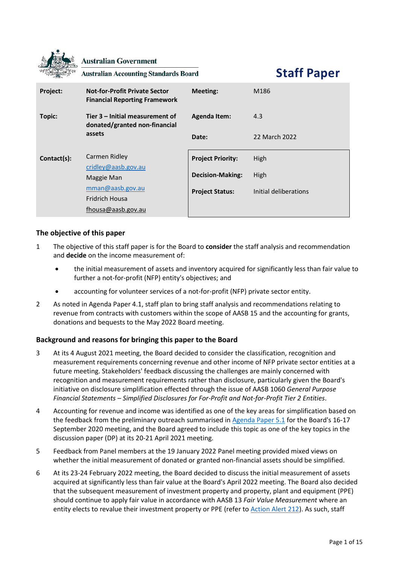|             | <b>Australian Government</b><br><b>Australian Accounting Standards Board</b>   | <b>Staff Paper</b>       |                       |
|-------------|--------------------------------------------------------------------------------|--------------------------|-----------------------|
| Project:    | <b>Not-for-Profit Private Sector</b><br><b>Financial Reporting Framework</b>   | <b>Meeting:</b>          | M186                  |
| Topic:      | Tier 3 – Initial measurement of<br>donated/granted non-financial<br>assets     | <b>Agenda Item:</b>      | 4.3                   |
|             |                                                                                | Date:                    | 22 March 2022         |
| Contact(s): | Carmen Ridley                                                                  | <b>Project Priority:</b> | <b>High</b>           |
|             | cridley@aasb.gov.au<br>Maggie Man<br>mman@aasb.gov.au<br><b>Fridrich Housa</b> | <b>Decision-Making:</b>  | High                  |
|             |                                                                                | <b>Project Status:</b>   | Initial deliberations |
|             | fhousa@aasb.gov.au                                                             |                          |                       |

## **The objective of this paper**

- 1 The objective of this staff paper is for the Board to **consider** the staff analysis and recommendation and **decide** on the income measurement of:
	- the initial measurement of assets and inventory acquired for significantly less than fair value to further a not-for-profit (NFP) entity's objectives; and
	- accounting for volunteer services of a not-for-profit (NFP) private sector entity.
- 2 As noted in Agenda Paper 4.1, staff plan to bring staff analysis and recommendations relating to revenue from contracts with customers within the scope of AASB 15 and the accounting for grants, donations and bequests to the May 2022 Board meeting.

## **Background and reasons for bringing this paper to the Board**

- 3 At its 4 August 2021 meeting, the Board decided to consider the classification, recognition and measurement requirements concerning revenue and other income of NFP private sector entities at a future meeting. Stakeholders' feedback discussing the challenges are mainly concerned with recognition and measurement requirements rather than disclosure, particularly given the Board's initiative on disclosure simplification effected through the issue of AASB 1060 *General Purpose Financial Statements – Simplified Disclosures for For-Profit and Not-for-Profit Tier 2 Entities*.
- 4 Accounting for revenue and income was identified as one of the key areas for simplification based on the feedback from the preliminary outreach summarised i[n Agenda Paper 5.1](https://www.aasb.gov.au/admin/file/content102/c3/5.1_SP_NFPFRF_M177_PP.pdf) for the Board's 16-17 September 2020 meeting, and the Board agreed to include this topic as one of the key topics in the discussion paper (DP) at its 20-21 April 2021 meeting.
- 5 Feedback from Panel members at the 19 January 2022 Panel meeting provided mixed views on whether the initial measurement of donated or granted non-financial assets should be simplified.
- 6 At its 23-24 February 2022 meeting, the Board decided to discuss the initial measurement of assets acquired at significantly less than fair value at the Board's April 2022 meeting. The Board also decided that the subsequent measurement of investment property and property, plant and equipment (PPE) should continue to apply fair value in accordance with AASB 13 *Fair Value Measurement* where an entity elects to revalue their investment property or PPE (refer to [Action Alert 212\)](https://aasb.gov.au/media/yujjwb30/212-actionalert.pdf). As such, staff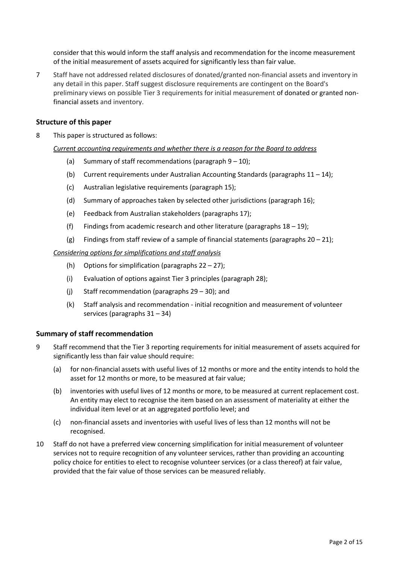consider that this would inform the staff analysis and recommendation for the income measurement of the initial measurement of assets acquired for significantly less than fair value.

7 Staff have not addressed related disclosures of donated/granted non-financial assets and inventory in any detail in this paper. Staff suggest disclosure requirements are contingent on the Board's preliminary views on possible Tier 3 requirements for initial measurement of donated or granted nonfinancial assets and inventory.

### **Structure of this paper**

8 This paper is structured as follows:

#### *Current accounting requirements and whether there is a reason for the Board to address*

- (a) Summary of staff recommendations (paragraph  $9 10$ );
- (b) Current requirements under Australian Accounting Standards (paragraphs  $11 14$  $11 14$ );
- (c) Australian legislative requirements (paragraph [15\)](#page-2-2);
- (d) Summary of approaches taken by selected other jurisdictions (paragraph [16\)](#page-3-0);
- (e) Feedback from Australian stakeholders (paragraphs [17\)](#page-5-0);
- (f) Findings from academic research and other literature (paragraphs  $18 19$  $18 19$ );
- (g) Findings from staff review of a sample of financial statements (paragraphs  $20 21$ );

#### *Considering options for simplifications and staff analysis*

- (h) Options for simplification (paragraphs  $22 27$ );
- (i) Evaluation of options against Tier 3 principles (paragraph [28\)](#page-11-0);
- (j) Staff recommendation (paragraphs [29](#page-11-1) [30\)](#page-12-0); and
- (k) Staff analysis and recommendation initial recognition and measurement of volunteer services (paragraphs [31](#page-13-0) – [34\)](#page-13-1)

### **Summary of staff recommendation**

- <span id="page-1-0"></span>9 Staff recommend that the Tier 3 reporting requirements for initial measurement of assets acquired for significantly less than fair value should require:
	- (a) for non-financial assets with useful lives of 12 months or more and the entity intends to hold the asset for 12 months or more, to be measured at fair value;
	- (b) inventories with useful lives of 12 months or more, to be measured at current replacement cost. An entity may elect to recognise the item based on an assessment of materiality at either the individual item level or at an aggregated portfolio level; and
	- (c) non-financial assets and inventories with useful lives of less than 12 months will not be recognised.
- <span id="page-1-1"></span>10 Staff do not have a preferred view concerning simplification for initial measurement of volunteer services not to require recognition of any volunteer services, rather than providing an accounting policy choice for entities to elect to recognise volunteer services (or a class thereof) at fair value, provided that the fair value of those services can be measured reliably.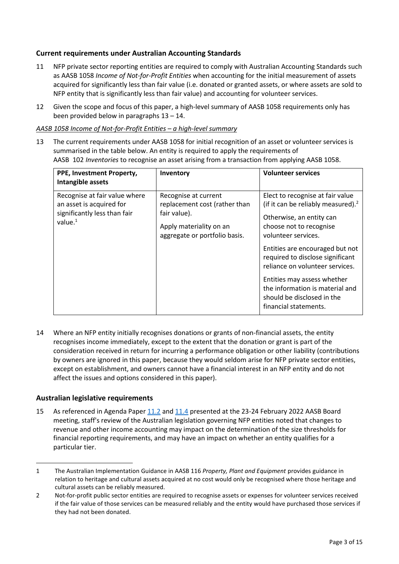# **Current requirements under Australian Accounting Standards**

- <span id="page-2-0"></span>11 NFP private sector reporting entities are required to comply with Australian Accounting Standards such as AASB 1058 *Income of Not-for-Profit Entities* when accounting for the initial measurement of assets acquired for significantly less than fair value (i.e. donated or granted assets, or where assets are sold to NFP entity that is significantly less than fair value) and accounting for volunteer services.
- 12 Given the scope and focus of this paper, a high-level summary of AASB 1058 requirements only has been provided below in paragraph[s 13](#page-2-3) – [14.](#page-2-1)

### *AASB 1058 Income of Not-for-Profit Entities – a high-level summary*

<span id="page-2-3"></span>13 The current requirements under AASB 1058 for initial recognition of an asset or volunteer services is summarised in the table below. An entity is required to apply the requirements of AASB 102 *Inventories* to recognise an asset arising from a transaction from applying AASB 1058.

| PPE, Investment Property,<br>Intangible assets                                                          | Inventory                                                                                                                         | <b>Volunteer services</b>                                                                                                                                                                                                                                                                                                                                                                  |
|---------------------------------------------------------------------------------------------------------|-----------------------------------------------------------------------------------------------------------------------------------|--------------------------------------------------------------------------------------------------------------------------------------------------------------------------------------------------------------------------------------------------------------------------------------------------------------------------------------------------------------------------------------------|
| Recognise at fair value where<br>an asset is acquired for<br>significantly less than fair<br>value. $1$ | Recognise at current<br>replacement cost (rather than<br>fair value).<br>Apply materiality on an<br>aggregate or portfolio basis. | Elect to recognise at fair value<br>(if it can be reliably measured). $2$<br>Otherwise, an entity can<br>choose not to recognise<br>volunteer services.<br>Entities are encouraged but not<br>required to disclose significant<br>reliance on volunteer services.<br>Entities may assess whether<br>the information is material and<br>should be disclosed in the<br>financial statements. |

<span id="page-2-1"></span>14 Where an NFP entity initially recognises donations or grants of non-financial assets, the entity recognises income immediately, except to the extent that the donation or grant is part of the consideration received in return for incurring a performance obligation or other liability (contributions by owners are ignored in this paper, because they would seldom arise for NFP private sector entities, except on establishment, and owners cannot have a financial interest in an NFP entity and do not affect the issues and options considered in this paper).

## **Australian legislative requirements**

<span id="page-2-2"></span>15 As referenced in Agenda Paper [11.2](https://www.aasb.gov.au/media/haih540j/11-2_sp_tier3investpropertyppe_m185_pp.pdf) an[d 11.4](https://www.aasb.gov.au/media/ol4ondoy/11-4-0_sp_tier3revenuegrants_m185_pp.pdf) presented at the 23-24 February 2022 AASB Board meeting, staff's review of the Australian legislation governing NFP entities noted that changes to revenue and other income accounting may impact on the determination of the size thresholds for financial reporting requirements, and may have an impact on whether an entity qualifies for a particular tier.

<sup>1</sup> The Australian Implementation Guidance in AASB 116 *Property, Plant and Equipment* provides guidance in relation to heritage and cultural assets acquired at no cost would only be recognised where those heritage and cultural assets can be reliably measured.

<sup>2</sup> Not-for-profit public sector entities are required to recognise assets or expenses for volunteer services received if the fair value of those services can be measured reliably and the entity would have purchased those services if they had not been donated.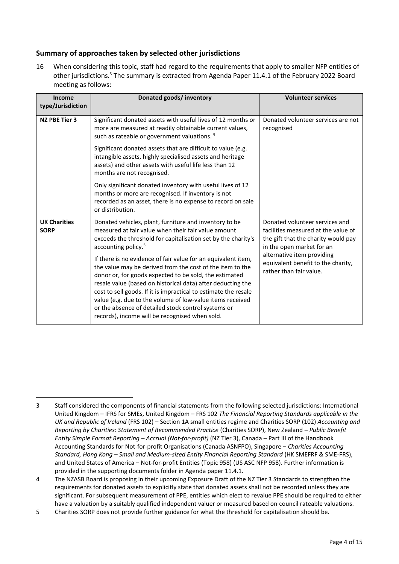# **Summary of approaches taken by selected other jurisdictions**

<span id="page-3-0"></span>16 When considering this topic, staff had regard to the requirements that apply to smaller NFP entities of other jurisdictions.<sup>3</sup> The summary is extracted from Agenda Paper 11.4.1 of the February 2022 Board meeting as follows:

| Income<br>type/Jurisdiction        | Donated goods/ inventory                                                                                                                                                                                                                                                                                                                                                                                                                                                                                                                                                                                                                                                                                          | <b>Volunteer services</b>                                                                                                                                                                                                                |
|------------------------------------|-------------------------------------------------------------------------------------------------------------------------------------------------------------------------------------------------------------------------------------------------------------------------------------------------------------------------------------------------------------------------------------------------------------------------------------------------------------------------------------------------------------------------------------------------------------------------------------------------------------------------------------------------------------------------------------------------------------------|------------------------------------------------------------------------------------------------------------------------------------------------------------------------------------------------------------------------------------------|
| <b>NZ PBE Tier 3</b>               | Significant donated assets with useful lives of 12 months or<br>more are measured at readily obtainable current values,<br>such as rateable or government valuations. <sup>4</sup>                                                                                                                                                                                                                                                                                                                                                                                                                                                                                                                                | Donated volunteer services are not<br>recognised                                                                                                                                                                                         |
|                                    | Significant donated assets that are difficult to value (e.g.<br>intangible assets, highly specialised assets and heritage<br>assets) and other assets with useful life less than 12<br>months are not recognised.                                                                                                                                                                                                                                                                                                                                                                                                                                                                                                 |                                                                                                                                                                                                                                          |
|                                    | Only significant donated inventory with useful lives of 12<br>months or more are recognised. If inventory is not<br>recorded as an asset, there is no expense to record on sale<br>or distribution.                                                                                                                                                                                                                                                                                                                                                                                                                                                                                                               |                                                                                                                                                                                                                                          |
| <b>UK Charities</b><br><b>SORP</b> | Donated vehicles, plant, furniture and inventory to be<br>measured at fair value when their fair value amount<br>exceeds the threshold for capitalisation set by the charity's<br>accounting policy. <sup>5</sup><br>If there is no evidence of fair value for an equivalent item,<br>the value may be derived from the cost of the item to the<br>donor or, for goods expected to be sold, the estimated<br>resale value (based on historical data) after deducting the<br>cost to sell goods. If it is impractical to estimate the resale<br>value (e.g. due to the volume of low-value items received<br>or the absence of detailed stock control systems or<br>records), income will be recognised when sold. | Donated volunteer services and<br>facilities measured at the value of<br>the gift that the charity would pay<br>in the open market for an<br>alternative item providing<br>equivalent benefit to the charity,<br>rather than fair value. |

<sup>3</sup> Staff considered the components of financial statements from the following selected jurisdictions: International United Kingdom – IFRS for SMEs, United Kingdom – FRS 102 *The Financial Reporting Standards applicable in the UK and Republic of Ireland* (FRS 102) – Section 1A small entities regime and Charities SORP (102) *Accounting and Reporting by Charities: Statement of Recommended Practice* (Charities SORP), New Zealand – *Public Benefit Entity Simple Format Reporting – Accrual (Not-for-profit)* (NZ Tier 3), Canada – Part III of the Handbook Accounting Standards for Not-for-profit Organisations (Canada ASNFPO), Singapore – *Charities Accounting Standard, Hong Kong – Small and Medium-sized Entity Financial Reporting Standard* (HK SMEFRF & SME-FRS), and United States of America – Not-for-profit Entities (Topic 958) (US ASC NFP 958). Further information is provided in the supporting documents folder in Agenda paper 11.4.1.

<sup>4</sup> The NZASB Board is proposing in their upcoming Exposure Draft of the NZ Tier 3 Standards to strengthen the requirements for donated assets to explicitly state that donated assets shall not be recorded unless they are significant. For subsequent measurement of PPE, entities which elect to revalue PPE should be required to either have a valuation by a suitably qualified independent valuer or measured based on council rateable valuations.

<sup>5</sup> Charities SORP does not provide further guidance for what the threshold for capitalisation should be.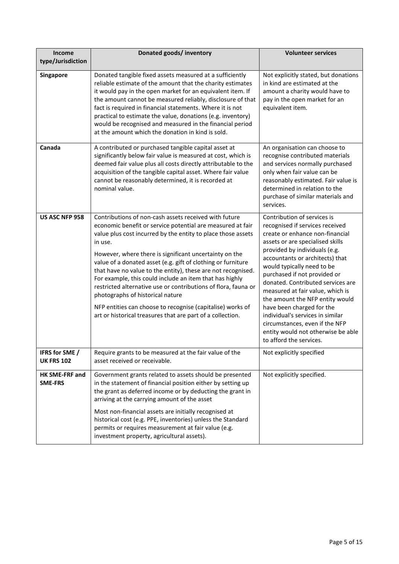| Income<br>type/Jurisdiction         | Donated goods/ inventory                                                                                                                                                                                                                                                                                                                                                                                                                                                                                                                                                                                                                                                              | <b>Volunteer services</b>                                                                                                                                                                                                                                                                                                                                                                                                                                                                                                                               |  |
|-------------------------------------|---------------------------------------------------------------------------------------------------------------------------------------------------------------------------------------------------------------------------------------------------------------------------------------------------------------------------------------------------------------------------------------------------------------------------------------------------------------------------------------------------------------------------------------------------------------------------------------------------------------------------------------------------------------------------------------|---------------------------------------------------------------------------------------------------------------------------------------------------------------------------------------------------------------------------------------------------------------------------------------------------------------------------------------------------------------------------------------------------------------------------------------------------------------------------------------------------------------------------------------------------------|--|
| Singapore                           | Donated tangible fixed assets measured at a sufficiently<br>reliable estimate of the amount that the charity estimates<br>it would pay in the open market for an equivalent item. If<br>the amount cannot be measured reliably, disclosure of that<br>fact is required in financial statements. Where it is not<br>practical to estimate the value, donations (e.g. inventory)<br>would be recognised and measured in the financial period<br>at the amount which the donation in kind is sold.                                                                                                                                                                                       | Not explicitly stated, but donations<br>in kind are estimated at the<br>amount a charity would have to<br>pay in the open market for an<br>equivalent item.                                                                                                                                                                                                                                                                                                                                                                                             |  |
| Canada                              | A contributed or purchased tangible capital asset at<br>significantly below fair value is measured at cost, which is<br>deemed fair value plus all costs directly attributable to the<br>acquisition of the tangible capital asset. Where fair value<br>cannot be reasonably determined, it is recorded at<br>nominal value.                                                                                                                                                                                                                                                                                                                                                          | An organisation can choose to<br>recognise contributed materials<br>and services normally purchased<br>only when fair value can be<br>reasonably estimated. Fair value is<br>determined in relation to the<br>purchase of similar materials and<br>services.                                                                                                                                                                                                                                                                                            |  |
| US ASC NFP 958                      | Contributions of non-cash assets received with future<br>economic benefit or service potential are measured at fair<br>value plus cost incurred by the entity to place those assets<br>in use.<br>However, where there is significant uncertainty on the<br>value of a donated asset (e.g. gift of clothing or furniture<br>that have no value to the entity), these are not recognised.<br>For example, this could include an item that has highly<br>restricted alternative use or contributions of flora, fauna or<br>photographs of historical nature<br>NFP entities can choose to recognise (capitalise) works of<br>art or historical treasures that are part of a collection. | Contribution of services is<br>recognised if services received<br>create or enhance non-financial<br>assets or are specialised skills<br>provided by individuals (e.g.<br>accountants or architects) that<br>would typically need to be<br>purchased if not provided or<br>donated. Contributed services are<br>measured at fair value, which is<br>the amount the NFP entity would<br>have been charged for the<br>individual's services in similar<br>circumstances, even if the NFP<br>entity would not otherwise be able<br>to afford the services. |  |
| IFRS for SME /<br><b>UK FRS 102</b> | Require grants to be measured at the fair value of the<br>asset received or receivable.                                                                                                                                                                                                                                                                                                                                                                                                                                                                                                                                                                                               | Not explicitly specified                                                                                                                                                                                                                                                                                                                                                                                                                                                                                                                                |  |
| HK SME-FRF and<br><b>SME-FRS</b>    | Government grants related to assets should be presented<br>in the statement of financial position either by setting up<br>the grant as deferred income or by deducting the grant in<br>arriving at the carrying amount of the asset<br>Most non-financial assets are initially recognised at<br>historical cost (e.g. PPE, inventories) unless the Standard<br>permits or requires measurement at fair value (e.g.<br>investment property, agricultural assets).                                                                                                                                                                                                                      | Not explicitly specified.                                                                                                                                                                                                                                                                                                                                                                                                                                                                                                                               |  |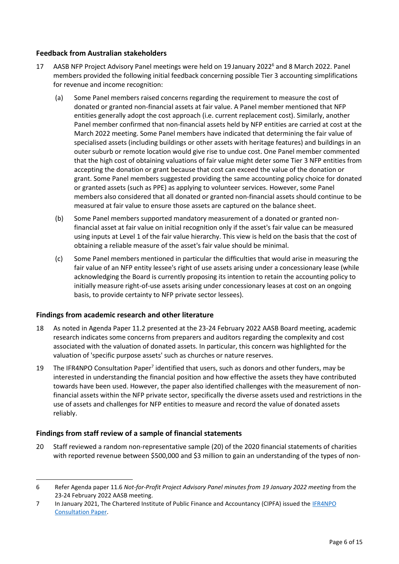# **Feedback from Australian stakeholders**

- <span id="page-5-0"></span>17 AASB NFP Project Advisory Panel meetings were held on 19 January 2022<sup>6</sup> and 8 March 2022. Panel members provided the following initial feedback concerning possible Tier 3 accounting simplifications for revenue and income recognition:
	- (a) Some Panel members raised concerns regarding the requirement to measure the cost of donated or granted non-financial assets at fair value. A Panel member mentioned that NFP entities generally adopt the cost approach (i.e. current replacement cost). Similarly, another Panel member confirmed that non-financial assets held by NFP entities are carried at cost at the March 2022 meeting. Some Panel members have indicated that determining the fair value of specialised assets (including buildings or other assets with heritage features) and buildings in an outer suburb or remote location would give rise to undue cost. One Panel member commented that the high cost of obtaining valuations of fair value might deter some Tier 3 NFP entities from accepting the donation or grant because that cost can exceed the value of the donation or grant. Some Panel members suggested providing the same accounting policy choice for donated or granted assets (such as PPE) as applying to volunteer services. However, some Panel members also considered that all donated or granted non-financial assets should continue to be measured at fair value to ensure those assets are captured on the balance sheet.
	- (b) Some Panel members supported mandatory measurement of a donated or granted nonfinancial asset at fair value on initial recognition only if the asset's fair value can be measured using inputs at Level 1 of the fair value hierarchy. This view is held on the basis that the cost of obtaining a reliable measure of the asset's fair value should be minimal.
	- (c) Some Panel members mentioned in particular the difficulties that would arise in measuring the fair value of an NFP entity lessee's right of use assets arising under a concessionary lease (while acknowledging the Board is currently proposing its intention to retain the accounting policy to initially measure right-of-use assets arising under concessionary leases at cost on an ongoing basis, to provide certainty to NFP private sector lessees).

## <span id="page-5-4"></span>**Findings from academic research and other literature**

- <span id="page-5-1"></span>18 As noted in Agenda Paper 11.2 presented at the 23-24 February 2022 AASB Board meeting, academic research indicates some concerns from preparers and auditors regarding the complexity and cost associated with the valuation of donated assets. In particular, this concern was highlighted for the valuation of 'specific purpose assets' such as churches or nature reserves.
- <span id="page-5-2"></span>19 The IFR4NPO Consultation Paper<sup>7</sup> identified that users, such as donors and other funders, may be interested in understanding the financial position and how effective the assets they have contributed towards have been used. However, the paper also identified challenges with the measurement of nonfinancial assets within the NFP private sector, specifically the diverse assets used and restrictions in the use of assets and challenges for NFP entities to measure and record the value of donated assets reliably.

## **Findings from staff review of a sample of financial statements**

<span id="page-5-3"></span>20 Staff reviewed a random non-representative sample (20) of the 2020 financial statements of charities with reported revenue between \$500,000 and \$3 million to gain an understanding of the types of non-

<sup>6</sup> Refer Agenda paper 11.6 *Not-for-Profit Project Advisory Panel minutes from 19 January 2022 meeting* from the 23-24 February 2022 AASB meeting.

<sup>7</sup> In January 2021, The Chartered Institute of Public Finance and Accountancy (CIPFA) issued the [IFR4NPO](https://www.ifr4npo.org/access-consultation-paper/)  [Consultation Paper.](https://www.ifr4npo.org/access-consultation-paper/)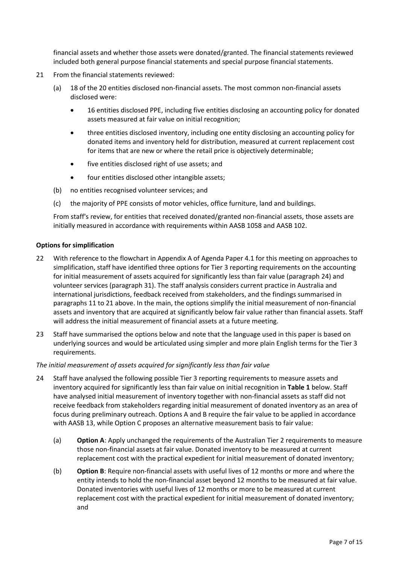financial assets and whether those assets were donated/granted. The financial statements reviewed included both general purpose financial statements and special purpose financial statements.

- <span id="page-6-0"></span>21 From the financial statements reviewed:
	- (a) 18 of the 20 entities disclosed non-financial assets. The most common non-financial assets disclosed were:
		- 16 entities disclosed PPE, including five entities disclosing an accounting policy for donated assets measured at fair value on initial recognition;
		- three entities disclosed inventory, including one entity disclosing an accounting policy for donated items and inventory held for distribution, measured at current replacement cost for items that are new or where the retail price is objectively determinable;
		- five entities disclosed right of use assets; and
		- four entities disclosed other intangible assets;
	- (b) no entities recognised volunteer services; and
	- (c) the majority of PPE consists of motor vehicles, office furniture, land and buildings.

From staff's review, for entities that received donated/granted non-financial assets, those assets are initially measured in accordance with requirements within AASB 1058 and AASB 102.

### **Options for simplification**

- <span id="page-6-1"></span>22 With reference to the flowchart in Appendix A of Agenda Paper 4.1 for this meeting on approaches to simplification, staff have identified three options for Tier 3 reporting requirements on the accounting for initial measurement of assets acquired for significantly less than fair value (paragraph [24\)](#page-6-2) and volunteer services (paragraph [31\)](#page-13-0). The staff analysis considers current practice in Australia and international jurisdictions, feedback received from stakeholders, and the findings summarised in paragraphs [11](#page-2-0) to [21](#page-6-0) above. In the main, the options simplify the initial measurement of non-financial assets and inventory that are acquired at significantly below fair value rather than financial assets. Staff will address the initial measurement of financial assets at a future meeting.
- 23 Staff have summarised the options below and note that the language used in this paper is based on underlying sources and would be articulated using simpler and more plain English terms for the Tier 3 requirements.

### *The initial measurement of assets acquired for significantly less than fair value*

- <span id="page-6-2"></span>24 Staff have analysed the following possible Tier 3 reporting requirements to measure assets and inventory acquired for significantly less than fair value on initial recognition in **[Table 1](#page-9-0)** below. Staff have analysed initial measurement of inventory together with non-financial assets as staff did not receive feedback from stakeholders regarding initial measurement of donated inventory as an area of focus during preliminary outreach. Options A and B require the fair value to be applied in accordance with AASB 13, while Option C proposes an alternative measurement basis to fair value:
	- (a) **Option A**: Apply unchanged the requirements of the Australian Tier 2 requirements to measure those non-financial assets at fair value. Donated inventory to be measured at current replacement cost with the practical expedient for initial measurement of donated inventory;
	- (b) **Option B**: Require non-financial assets with useful lives of 12 months or more and where the entity intends to hold the non-financial asset beyond 12 months to be measured at fair value. Donated inventories with useful lives of 12 months or more to be measured at current replacement cost with the practical expedient for initial measurement of donated inventory; and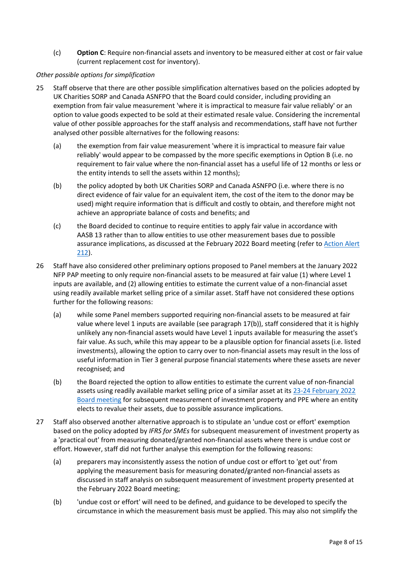(c) **Option C**: Require non-financial assets and inventory to be measured either at cost or fair value (current replacement cost for inventory).

### *Other possible options for simplification*

- 25 Staff observe that there are other possible simplification alternatives based on the policies adopted by UK Charities SORP and Canada ASNFPO that the Board could consider, including providing an exemption from fair value measurement 'where it is impractical to measure fair value reliably' or an option to value goods expected to be sold at their estimated resale value. Considering the incremental value of other possible approaches for the staff analysis and recommendations, staff have not further analysed other possible alternatives for the following reasons:
	- (a) the exemption from fair value measurement 'where it is impractical to measure fair value reliably' would appear to be compassed by the more specific exemptions in Option B (i.e. no requirement to fair value where the non-financial asset has a useful life of 12 months or less or the entity intends to sell the assets within 12 months);
	- (b) the policy adopted by both UK Charities SORP and Canada ASNFPO (i.e. where there is no direct evidence of fair value for an equivalent item, the cost of the item to the donor may be used) might require information that is difficult and costly to obtain, and therefore might not achieve an appropriate balance of costs and benefits; and
	- (c) the Board decided to continue to require entities to apply fair value in accordance with AASB 13 rather than to allow entities to use other measurement bases due to possible assurance implications, as discussed at the February 2022 Board meeting (refer to [Action Alert](https://aasb.gov.au/media/yujjwb30/212-actionalert.pdf)  [212\)](https://aasb.gov.au/media/yujjwb30/212-actionalert.pdf).
- 26 Staff have also considered other preliminary options proposed to Panel members at the January 2022 NFP PAP meeting to only require non-financial assets to be measured at fair value (1) where Level 1 inputs are available, and (2) allowing entities to estimate the current value of a non-financial asset using readily available market selling price of a similar asset. Staff have not considered these options further for the following reasons:
	- (a) while some Panel members supported requiring non-financial assets to be measured at fair value where level 1 inputs are available (see paragraph [17\(b\)\)](#page-5-4), staff considered that it is highly unlikely any non-financial assets would have Level 1 inputs available for measuring the asset's fair value. As such, while this may appear to be a plausible option for financial assets (i.e. listed investments), allowing the option to carry over to non-financial assets may result in the loss of useful information in Tier 3 general purpose financial statements where these assets are never recognised; and
	- (b) the Board rejected the option to allow entities to estimate the current value of non-financial assets using readily available market selling price of a similar asset at it[s 23-24 February 2022](https://aasb.gov.au/media/yujjwb30/212-actionalert.pdf)  [Board meeting](https://aasb.gov.au/media/yujjwb30/212-actionalert.pdf) for subsequent measurement of investment property and PPE where an entity elects to revalue their assets, due to possible assurance implications.
- <span id="page-7-0"></span>27 Staff also observed another alternative approach is to stipulate an 'undue cost or effort' exemption based on the policy adopted by *IFRS for SMEs* for subsequent measurement of investment property as a 'practical out' from measuring donated/granted non-financial assets where there is undue cost or effort. However, staff did not further analyse this exemption for the following reasons:
	- (a) preparers may inconsistently assess the notion of undue cost or effort to 'get out' from applying the measurement basis for measuring donated/granted non-financial assets as discussed in staff analysis on subsequent measurement of investment property presented at the February 2022 Board meeting;
	- (b) 'undue cost or effort' will need to be defined, and guidance to be developed to specify the circumstance in which the measurement basis must be applied. This may also not simplify the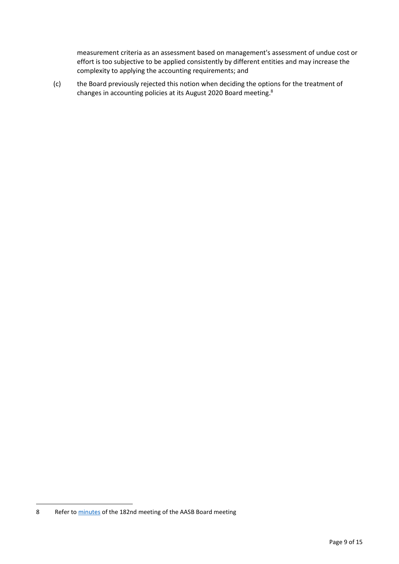measurement criteria as an assessment based on management's assessment of undue cost or effort is too subjective to be applied consistently by different entities and may increase the complexity to applying the accounting requirements; and

(c) the Board previously rejected this notion when deciding the options for the treatment of changes in accounting policies at its August 2020 Board meeting.<sup>8</sup>

<sup>8</sup> Refer to [minutes](https://aasb.gov.au/media/fsblvmin/aasbapprovedminutesm182_4aug21.pdf) of the 182nd meeting of the AASB Board meeting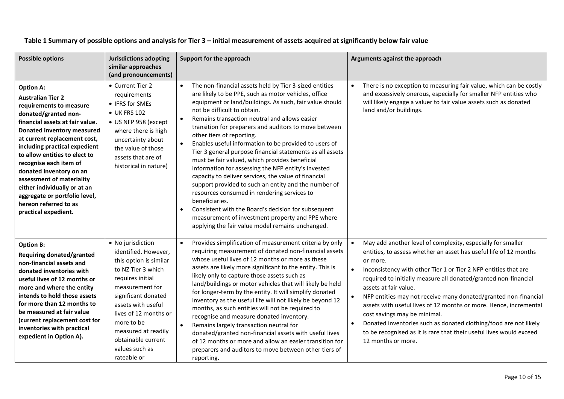<span id="page-9-0"></span>

| <b>Possible options</b>                                                                                                                                                                                                                                                                                                                                                                                                                                                | <b>Jurisdictions adopting</b><br>similar approaches<br>(and pronouncements)                                                                                                                                                                                                                        | Support for the approach                                                                                                                                                                                                                                                                                                                                                                                                                                                                                                                                                                                                                                                                                                                                                                                                                                                                                                                                                           | Arguments against the approach                                                                                                                                                                                                                                                                                                                                                                                                                                                                                                                                                                                                                       |
|------------------------------------------------------------------------------------------------------------------------------------------------------------------------------------------------------------------------------------------------------------------------------------------------------------------------------------------------------------------------------------------------------------------------------------------------------------------------|----------------------------------------------------------------------------------------------------------------------------------------------------------------------------------------------------------------------------------------------------------------------------------------------------|------------------------------------------------------------------------------------------------------------------------------------------------------------------------------------------------------------------------------------------------------------------------------------------------------------------------------------------------------------------------------------------------------------------------------------------------------------------------------------------------------------------------------------------------------------------------------------------------------------------------------------------------------------------------------------------------------------------------------------------------------------------------------------------------------------------------------------------------------------------------------------------------------------------------------------------------------------------------------------|------------------------------------------------------------------------------------------------------------------------------------------------------------------------------------------------------------------------------------------------------------------------------------------------------------------------------------------------------------------------------------------------------------------------------------------------------------------------------------------------------------------------------------------------------------------------------------------------------------------------------------------------------|
| <b>Option A:</b><br><b>Australian Tier 2</b><br>requirements to measure<br>donated/granted non-<br>financial assets at fair value.<br>Donated inventory measured<br>at current replacement cost,<br>including practical expedient<br>to allow entities to elect to<br>recognise each item of<br>donated inventory on an<br>assessment of materiality<br>either individually or at an<br>aggregate or portfolio level,<br>hereon referred to as<br>practical expedient. | • Current Tier 2<br>requirements<br>• IFRS for SMEs<br>• UK FRS 102<br>• US NFP 958 (except<br>where there is high<br>uncertainty about<br>the value of those<br>assets that are of<br>historical in nature)                                                                                       | The non-financial assets held by Tier 3-sized entities<br>$\bullet$<br>are likely to be PPE, such as motor vehicles, office<br>equipment or land/buildings. As such, fair value should<br>not be difficult to obtain.<br>Remains transaction neutral and allows easier<br>$\bullet$<br>transition for preparers and auditors to move between<br>other tiers of reporting.<br>Enables useful information to be provided to users of<br>$\bullet$<br>Tier 3 general purpose financial statements as all assets<br>must be fair valued, which provides beneficial<br>information for assessing the NFP entity's invested<br>capacity to deliver services, the value of financial<br>support provided to such an entity and the number of<br>resources consumed in rendering services to<br>beneficiaries.<br>Consistent with the Board's decision for subsequent<br>$\bullet$<br>measurement of investment property and PPE where<br>applying the fair value model remains unchanged. | There is no exception to measuring fair value, which can be costly<br>and excessively onerous, especially for smaller NFP entities who<br>will likely engage a valuer to fair value assets such as donated<br>land and/or buildings.                                                                                                                                                                                                                                                                                                                                                                                                                 |
| <b>Option B:</b><br>Requiring donated/granted<br>non-financial assets and<br>donated inventories with<br>useful lives of 12 months or<br>more and where the entity<br>intends to hold those assets<br>for more than 12 months to<br>be measured at fair value<br>(current replacement cost for<br>inventories with practical<br>expedient in Option A).                                                                                                                | • No jurisdiction<br>identified. However,<br>this option is similar<br>to NZ Tier 3 which<br>requires initial<br>measurement for<br>significant donated<br>assets with useful<br>lives of 12 months or<br>more to be<br>measured at readily<br>obtainable current<br>values such as<br>rateable or | Provides simplification of measurement criteria by only<br>requiring measurement of donated non-financial assets<br>whose useful lives of 12 months or more as these<br>assets are likely more significant to the entity. This is<br>likely only to capture those assets such as<br>land/buildings or motor vehicles that will likely be held<br>for longer-term by the entity. It will simplify donated<br>inventory as the useful life will not likely be beyond 12<br>months, as such entities will not be required to<br>recognise and measure donated inventory.<br>Remains largely transaction neutral for<br>donated/granted non-financial assets with useful lives<br>of 12 months or more and allow an easier transition for<br>preparers and auditors to move between other tiers of<br>reporting.                                                                                                                                                                       | May add another level of complexity, especially for smaller<br>entities, to assess whether an asset has useful life of 12 months<br>or more.<br>Inconsistency with other Tier 1 or Tier 2 NFP entities that are<br>required to initially measure all donated/granted non-financial<br>assets at fair value.<br>NFP entities may not receive many donated/granted non-financial<br>assets with useful lives of 12 months or more. Hence, incremental<br>cost savings may be minimal.<br>Donated inventories such as donated clothing/food are not likely<br>to be recognised as it is rare that their useful lives would exceed<br>12 months or more. |

# **Table 1 Summary of possible options and analysis for Tier 3 – initial measurement of assets acquired at significantly below fair value**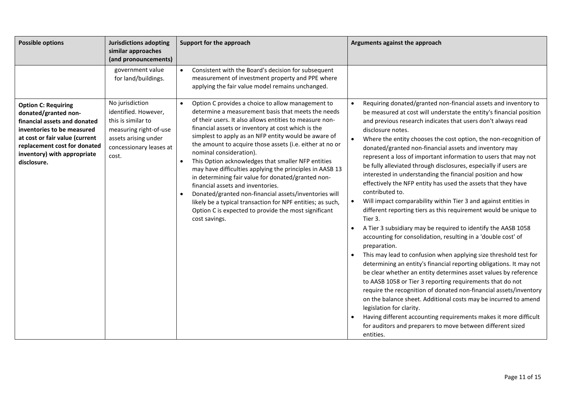| <b>Possible options</b>                                                                                                                                                                                                          | <b>Jurisdictions adopting</b><br>similar approaches<br>(and pronouncements)                                                                         | Support for the approach                                                                                                                                                                                                                                                                                                                                                                                                                                                                                                                                                                                                                                                                                                                                                                          | Arguments against the approach                                                                                                                                                                                                                                                                                                                                                                                                                                                                                                                                                                                                                                                                                                                                                                                                                                                                                                                                                                                                                                                                                                                                                                                                                                                                                                                                                                                                                                                                                                                                                 |
|----------------------------------------------------------------------------------------------------------------------------------------------------------------------------------------------------------------------------------|-----------------------------------------------------------------------------------------------------------------------------------------------------|---------------------------------------------------------------------------------------------------------------------------------------------------------------------------------------------------------------------------------------------------------------------------------------------------------------------------------------------------------------------------------------------------------------------------------------------------------------------------------------------------------------------------------------------------------------------------------------------------------------------------------------------------------------------------------------------------------------------------------------------------------------------------------------------------|--------------------------------------------------------------------------------------------------------------------------------------------------------------------------------------------------------------------------------------------------------------------------------------------------------------------------------------------------------------------------------------------------------------------------------------------------------------------------------------------------------------------------------------------------------------------------------------------------------------------------------------------------------------------------------------------------------------------------------------------------------------------------------------------------------------------------------------------------------------------------------------------------------------------------------------------------------------------------------------------------------------------------------------------------------------------------------------------------------------------------------------------------------------------------------------------------------------------------------------------------------------------------------------------------------------------------------------------------------------------------------------------------------------------------------------------------------------------------------------------------------------------------------------------------------------------------------|
|                                                                                                                                                                                                                                  | government value<br>for land/buildings.                                                                                                             | Consistent with the Board's decision for subsequent<br>$\bullet$<br>measurement of investment property and PPE where<br>applying the fair value model remains unchanged.                                                                                                                                                                                                                                                                                                                                                                                                                                                                                                                                                                                                                          |                                                                                                                                                                                                                                                                                                                                                                                                                                                                                                                                                                                                                                                                                                                                                                                                                                                                                                                                                                                                                                                                                                                                                                                                                                                                                                                                                                                                                                                                                                                                                                                |
| <b>Option C: Requiring</b><br>donated/granted non-<br>financial assets and donated<br>inventories to be measured<br>at cost or fair value (current<br>replacement cost for donated<br>inventory) with appropriate<br>disclosure. | No jurisdiction<br>identified. However,<br>this is similar to<br>measuring right-of-use<br>assets arising under<br>concessionary leases at<br>cost. | Option C provides a choice to allow management to<br>determine a measurement basis that meets the needs<br>of their users. It also allows entities to measure non-<br>financial assets or inventory at cost which is the<br>simplest to apply as an NFP entity would be aware of<br>the amount to acquire those assets (i.e. either at no or<br>nominal consideration).<br>This Option acknowledges that smaller NFP entities<br>$\bullet$<br>may have difficulties applying the principles in AASB 13<br>in determining fair value for donated/granted non-<br>financial assets and inventories.<br>Donated/granted non-financial assets/inventories will<br>likely be a typical transaction for NPF entities; as such,<br>Option C is expected to provide the most significant<br>cost savings. | Requiring donated/granted non-financial assets and inventory to<br>be measured at cost will understate the entity's financial position<br>and previous research indicates that users don't always read<br>disclosure notes.<br>Where the entity chooses the cost option, the non-recognition of<br>$\bullet$<br>donated/granted non-financial assets and inventory may<br>represent a loss of important information to users that may not<br>be fully alleviated through disclosures, especially if users are<br>interested in understanding the financial position and how<br>effectively the NFP entity has used the assets that they have<br>contributed to.<br>Will impact comparability within Tier 3 and against entities in<br>different reporting tiers as this requirement would be unique to<br>Tier 3.<br>A Tier 3 subsidiary may be required to identify the AASB 1058<br>$\bullet$<br>accounting for consolidation, resulting in a 'double cost' of<br>preparation.<br>This may lead to confusion when applying size threshold test for<br>determining an entity's financial reporting obligations. It may not<br>be clear whether an entity determines asset values by reference<br>to AASB 1058 or Tier 3 reporting requirements that do not<br>require the recognition of donated non-financial assets/inventory<br>on the balance sheet. Additional costs may be incurred to amend<br>legislation for clarity.<br>Having different accounting requirements makes it more difficult<br>for auditors and preparers to move between different sized<br>entities. |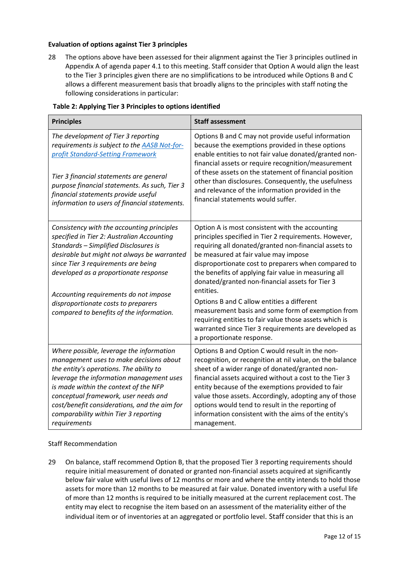### **Evaluation of options against Tier 3 principles**

<span id="page-11-0"></span>28 The options above have been assessed for their alignment against the Tier 3 principles outlined in Appendix A of agenda paper 4.1 to this meeting. Staff consider that Option A would align the least to the Tier 3 principles given there are no simplifications to be introduced while Options B and C allows a different measurement basis that broadly aligns to the principles with staff noting the following considerations in particular:

| <b>Principles</b>                                                                                                                                                                                                                                                                                                                                                                            | <b>Staff assessment</b>                                                                                                                                                                                                                                                                                                                                                                                                                                                                                                                                                                                                                    |
|----------------------------------------------------------------------------------------------------------------------------------------------------------------------------------------------------------------------------------------------------------------------------------------------------------------------------------------------------------------------------------------------|--------------------------------------------------------------------------------------------------------------------------------------------------------------------------------------------------------------------------------------------------------------------------------------------------------------------------------------------------------------------------------------------------------------------------------------------------------------------------------------------------------------------------------------------------------------------------------------------------------------------------------------------|
| The development of Tier 3 reporting<br>requirements is subject to the AASB Not-for-<br>profit Standard-Setting Framework<br>Tier 3 financial statements are general<br>purpose financial statements. As such, Tier 3<br>financial statements provide useful<br>information to users of financial statements.                                                                                 | Options B and C may not provide useful information<br>because the exemptions provided in these options<br>enable entities to not fair value donated/granted non-<br>financial assets or require recognition/measurement<br>of these assets on the statement of financial position<br>other than disclosures. Consequently, the usefulness<br>and relevance of the information provided in the<br>financial statements would suffer.                                                                                                                                                                                                        |
| Consistency with the accounting principles<br>specified in Tier 2: Australian Accounting<br>Standards - Simplified Disclosures is<br>desirable but might not always be warranted<br>since Tier 3 requirements are being<br>developed as a proportionate response<br>Accounting requirements do not impose<br>disproportionate costs to preparers<br>compared to benefits of the information. | Option A is most consistent with the accounting<br>principles specified in Tier 2 requirements. However,<br>requiring all donated/granted non-financial assets to<br>be measured at fair value may impose<br>disproportionate cost to preparers when compared to<br>the benefits of applying fair value in measuring all<br>donated/granted non-financial assets for Tier 3<br>entities.<br>Options B and C allow entities a different<br>measurement basis and some form of exemption from<br>requiring entities to fair value those assets which is<br>warranted since Tier 3 requirements are developed as<br>a proportionate response. |
| Where possible, leverage the information<br>management uses to make decisions about<br>the entity's operations. The ability to<br>leverage the information management uses<br>is made within the context of the NFP<br>conceptual framework, user needs and<br>cost/benefit considerations, and the aim for<br>comparability within Tier 3 reporting<br>requirements                         | Options B and Option C would result in the non-<br>recognition, or recognition at nil value, on the balance<br>sheet of a wider range of donated/granted non-<br>financial assets acquired without a cost to the Tier 3<br>entity because of the exemptions provided to fair<br>value those assets. Accordingly, adopting any of those<br>options would tend to result in the reporting of<br>information consistent with the aims of the entity's<br>management.                                                                                                                                                                          |

### **Table 2: Applying Tier 3 Principles to options identified**

### Staff Recommendation

<span id="page-11-1"></span>29 On balance, staff recommend Option B, that the proposed Tier 3 reporting requirements should require initial measurement of donated or granted non-financial assets acquired at significantly below fair value with useful lives of 12 months or more and where the entity intends to hold those assets for more than 12 months to be measured at fair value. Donated inventory with a useful life of more than 12 months is required to be initially measured at the current replacement cost. The entity may elect to recognise the item based on an assessment of the materiality either of the individual item or of inventories at an aggregated or portfolio level. Staff consider that this is an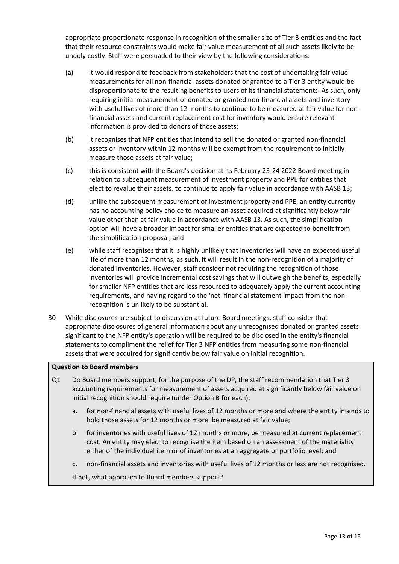appropriate proportionate response in recognition of the smaller size of Tier 3 entities and the fact that their resource constraints would make fair value measurement of all such assets likely to be unduly costly. Staff were persuaded to their view by the following considerations:

- (a) it would respond to feedback from stakeholders that the cost of undertaking fair value measurements for all non-financial assets donated or granted to a Tier 3 entity would be disproportionate to the resulting benefits to users of its financial statements. As such, only requiring initial measurement of donated or granted non-financial assets and inventory with useful lives of more than 12 months to continue to be measured at fair value for nonfinancial assets and current replacement cost for inventory would ensure relevant information is provided to donors of those assets;
- (b) it recognises that NFP entities that intend to sell the donated or granted non-financial assets or inventory within 12 months will be exempt from the requirement to initially measure those assets at fair value;
- (c) this is consistent with the Board's decision at its February 23-24 2022 Board meeting in relation to subsequent measurement of investment property and PPE for entities that elect to revalue their assets, to continue to apply fair value in accordance with AASB 13;
- (d) unlike the subsequent measurement of investment property and PPE, an entity currently has no accounting policy choice to measure an asset acquired at significantly below fair value other than at fair value in accordance with AASB 13. As such, the simplification option will have a broader impact for smaller entities that are expected to benefit from the simplification proposal; and
- (e) while staff recognises that it is highly unlikely that inventories will have an expected useful life of more than 12 months, as such, it will result in the non-recognition of a majority of donated inventories. However, staff consider not requiring the recognition of those inventories will provide incremental cost savings that will outweigh the benefits, especially for smaller NFP entities that are less resourced to adequately apply the current accounting requirements, and having regard to the 'net' financial statement impact from the nonrecognition is unlikely to be substantial.
- <span id="page-12-0"></span>30 While disclosures are subject to discussion at future Board meetings, staff consider that appropriate disclosures of general information about any unrecognised donated or granted assets significant to the NFP entity's operation will be required to be disclosed in the entity's financial statements to compliment the relief for Tier 3 NFP entities from measuring some non-financial assets that were acquired for significantly below fair value on initial recognition.

### **Question to Board members**

- Q1 Do Board members support, for the purpose of the DP, the staff recommendation that Tier 3 accounting requirements for measurement of assets acquired at significantly below fair value on initial recognition should require (under Option B for each):
	- a. for non-financial assets with useful lives of 12 months or more and where the entity intends to hold those assets for 12 months or more, be measured at fair value;
	- b. for inventories with useful lives of 12 months or more, be measured at current replacement cost. An entity may elect to recognise the item based on an assessment of the materiality either of the individual item or of inventories at an aggregate or portfolio level; and
	- c. non-financial assets and inventories with useful lives of 12 months or less are not recognised.

If not, what approach to Board members support?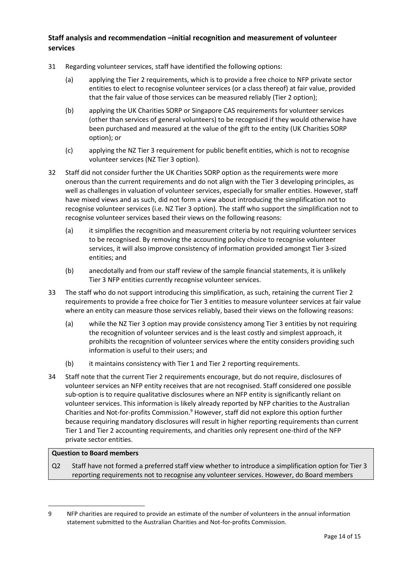# **Staff analysis and recommendation –initial recognition and measurement of volunteer services**

- <span id="page-13-0"></span>31 Regarding volunteer services, staff have identified the following options:
	- (a) applying the Tier 2 requirements, which is to provide a free choice to NFP private sector entities to elect to recognise volunteer services (or a class thereof) at fair value, provided that the fair value of those services can be measured reliably (Tier 2 option);
	- (b) applying the UK Charities SORP or Singapore CAS requirements for volunteer services (other than services of general volunteers) to be recognised if they would otherwise have been purchased and measured at the value of the gift to the entity (UK Charities SORP option); or
	- (c) applying the NZ Tier 3 requirement for public benefit entities, which is not to recognise volunteer services (NZ Tier 3 option).
- 32 Staff did not consider further the UK Charities SORP option as the requirements were more onerous than the current requirements and do not align with the Tier 3 developing principles, as well as challenges in valuation of volunteer services, especially for smaller entities. However, staff have mixed views and as such, did not form a view about introducing the simplification not to recognise volunteer services (i.e. NZ Tier 3 option). The staff who support the simplification not to recognise volunteer services based their views on the following reasons:
	- (a) it simplifies the recognition and measurement criteria by not requiring volunteer services to be recognised. By removing the accounting policy choice to recognise volunteer services, it will also improve consistency of information provided amongst Tier 3-sized entities; and
	- (b) anecdotally and from our staff review of the sample financial statements, it is unlikely Tier 3 NFP entities currently recognise volunteer services.
- 33 The staff who do not support introducing this simplification, as such, retaining the current Tier 2 requirements to provide a free choice for Tier 3 entities to measure volunteer services at fair value where an entity can measure those services reliably, based their views on the following reasons:
	- (a) while the NZ Tier 3 option may provide consistency among Tier 3 entities by not requiring the recognition of volunteer services and is the least costly and simplest approach, it prohibits the recognition of volunteer services where the entity considers providing such information is useful to their users; and
	- (b) it maintains consistency with Tier 1 and Tier 2 reporting requirements.
- <span id="page-13-1"></span>34 Staff note that the current Tier 2 requirements encourage, but do not require, disclosures of volunteer services an NFP entity receives that are not recognised. Staff considered one possible sub-option is to require qualitative disclosures where an NFP entity is significantly reliant on volunteer services. This information is likely already reported by NFP charities to the Australian Charities and Not-for-profits Commission.<sup>9</sup> However, staff did not explore this option further because requiring mandatory disclosures will result in higher reporting requirements than current Tier 1 and Tier 2 accounting requirements, and charities only represent one-third of the NFP private sector entities.

### **Question to Board members**

Q2 Staff have not formed a preferred staff view whether to introduce a simplification option for Tier 3 reporting requirements not to recognise any volunteer services. However, do Board members

<sup>9</sup> NFP charities are required to provide an estimate of the number of volunteers in the annual information statement submitted to the Australian Charities and Not-for-profits Commission.